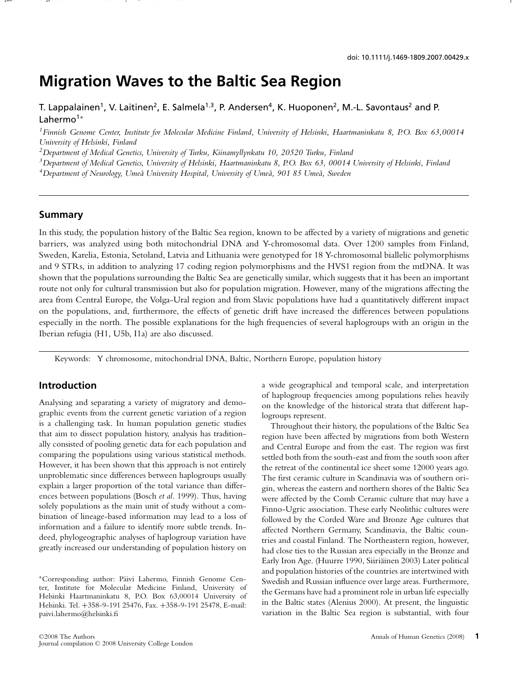# **Migration Waves to the Baltic Sea Region**

T. Lappalainen<sup>1</sup>, V. Laitinen<sup>2</sup>, E. Salmela<sup>1,3</sup>, P. Andersen<sup>4</sup>, K. Huoponen<sup>2</sup>, M.-L. Savontaus<sup>2</sup> and P. Lahermo1<sup>∗</sup>

*1Finnish Genome Center, Institute for Molecular Medicine Finland, University of Helsinki, Haartmaninkatu 8, P.O. Box 63,00014 University of Helsinki, Finland*

*2Department of Medical Genetics, University of Turku, Kiinamyllynkatu 10, 20520 Turku, Finland*

*3Department of Medical Genetics, University of Helsinki, Haartmaninkatu 8, P.O. Box 63, 00014 University of Helsinki, Finland*

*4Department of Neurology, Umea University Hospital, University of Ume ˚ a, 901 85 Ume ˚ a, Sweden ˚*

### **Summary**

ah<del>g2</del>029 ahag2006 v1.com February 19, 2008 : 1907

In this study, the population history of the Baltic Sea region, known to be affected by a variety of migrations and genetic barriers, was analyzed using both mitochondrial DNA and Y-chromosomal data. Over 1200 samples from Finland, Sweden, Karelia, Estonia, Setoland, Latvia and Lithuania were genotyped for 18 Y-chromosomal biallelic polymorphisms and 9 STRs, in addition to analyzing 17 coding region polymorphisms and the HVS1 region from the mtDNA. It was shown that the populations surrounding the Baltic Sea are genetically similar, which suggests that it has been an important route not only for cultural transmission but also for population migration. However, many of the migrations affecting the area from Central Europe, the Volga-Ural region and from Slavic populations have had a quantitatively different impact on the populations, and, furthermore, the effects of genetic drift have increased the differences between populations especially in the north. The possible explanations for the high frequencies of several haplogroups with an origin in the Iberian refugia (H1, U5b, I1a) are also discussed.

Keywords: Y chromosome, mitochondrial DNA, Baltic, Northern Europe, population history

# **Introduction**

Analysing and separating a variety of migratory and demographic events from the current genetic variation of a region is a challenging task. In human population genetic studies that aim to dissect population history, analysis has traditionally consisted of pooling genetic data for each population and comparing the populations using various statistical methods. However, it has been shown that this approach is not entirely unproblematic since differences between haplogroups usually explain a larger proportion of the total variance than differences between populations (Bosch *et al*. 1999). Thus, having solely populations as the main unit of study without a combination of lineage-based information may lead to a loss of information and a failure to identify more subtle trends. Indeed, phylogeographic analyses of haplogroup variation have greatly increased our understanding of population history on a wide geographical and temporal scale, and interpretation of haplogroup frequencies among populations relies heavily on the knowledge of the historical strata that different haplogroups represent.

Throughout their history, the populations of the Baltic Sea region have been affected by migrations from both Western and Central Europe and from the east. The region was first settled both from the south-east and from the south soon after the retreat of the continental ice sheet some 12000 years ago. The first ceramic culture in Scandinavia was of southern origin, whereas the eastern and northern shores of the Baltic Sea were affected by the Comb Ceramic culture that may have a Finno-Ugric association. These early Neolithic cultures were followed by the Corded Ware and Bronze Age cultures that affected Northern Germany, Scandinavia, the Baltic countries and coastal Finland. The Northeastern region, however, had close ties to the Russian area especially in the Bronze and Early Iron Age. (Huurre 1990, Siiriainen 2003) Later political ¨ and population histories of the countries are intertwined with Swedish and Russian influence over large areas. Furthermore, the Germans have had a prominent role in urban life especially in the Baltic states (Alenius 2000). At present, the linguistic variation in the Baltic Sea region is substantial, with four

<sup>∗</sup>Corresponding author: Paivi Lahermo, Finnish Genome Cen- ¨ ter, Institute for Molecular Medicine Finland, University of Helsinki Haartmaninkatu 8, P.O. Box 63,00014 University of Helsinki. Tel. +358-9-191 25476, Fax. +358-9-191 25478, E-mail: paivi.lahermo@helsinki.fi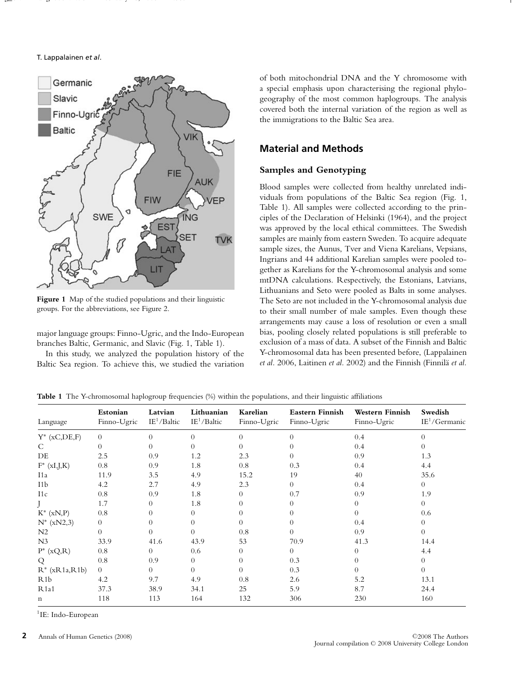

Figure 1 Map of the studied populations and their linguistic groups. For the abbreviations, see Figure 2.

major language groups: Finno-Ugric, and the Indo-European branches Baltic, Germanic, and Slavic (Fig. 1, Table 1).

In this study, we analyzed the population history of the Baltic Sea region. To achieve this, we studied the variation of both mitochondrial DNA and the Y chromosome with a special emphasis upon characterising the regional phylogeography of the most common haplogroups. The analysis covered both the internal variation of the region as well as the immigrations to the Baltic Sea area.

# **Material and Methods**

# **Samples and Genotyping**

Blood samples were collected from healthy unrelated individuals from populations of the Baltic Sea region (Fig. 1, Table 1). All samples were collected according to the principles of the Declaration of Helsinki (1964), and the project was approved by the local ethical committees. The Swedish samples are mainly from eastern Sweden. To acquire adequate sample sizes, the Aunus, Tver and Viena Karelians, Vepsians, Ingrians and 44 additional Karelian samples were pooled together as Karelians for the Y-chromosomal analysis and some mtDNA calculations. Respectively, the Estonians, Latvians, Lithuanians and Seto were pooled as Balts in some analyses. The Seto are not included in the Y-chromosomal analysis due to their small number of male samples. Even though these arrangements may cause a loss of resolution or even a small bias, pooling closely related populations is still preferable to exclusion of a mass of data. A subset of the Finnish and Baltic Y-chromosomal data has been presented before, (Lappalainen *et al.* 2006, Laitinen *et al.* 2002) and the Finnish (Finnilä *et al.* 

**Table 1** The Y-chromosomal haplogroup frequencies (%) within the populations, and their linguistic affiliations

| Language                      | Estonian<br>Finno-Ugric | Latvian<br>$IE^1/Baltic$ | Lithuanian<br>$IE^1/Baltic$ | Karelian<br>Finno-Ugric | Eastern Finnish<br>Finno-Ugric | Western Finnish<br>Finno-Ugric | Swedish<br>$IE^1/G$ ermanic |
|-------------------------------|-------------------------|--------------------------|-----------------------------|-------------------------|--------------------------------|--------------------------------|-----------------------------|
| $Y^*$ (xC,DE,F)               | $\theta$                | $\Omega$                 | $\Omega$                    | $\Omega$                | $\overline{0}$                 | 0.4                            | 0                           |
| C                             | 0                       | $\Omega$                 | 0                           | 0                       | $\overline{0}$                 | 0.4                            | $^{(1)}$                    |
| DE                            | 2.5                     | 0.9                      | 1.2                         | 2.3                     | $\Omega$                       | 0.9                            | 1.3                         |
| $F^*(xI,J,K)$                 | 0.8                     | 0.9                      | 1.8                         | 0.8                     | 0.3                            | 0.4                            | 4.4                         |
| I1a                           | 11.9                    | 3.5                      | 4.9                         | 15.2                    | 19                             | 40                             | 35.6                        |
| I <sub>1</sub> b              | 4.2                     | 2.7                      | 4.9                         | 2.3                     | $\overline{0}$                 | 0.4                            | 0                           |
| 11c                           | 0.8                     | 0.9                      | 1.8                         | $\Omega$                | 0.7                            | 0.9                            | 1.9                         |
|                               | 1.7                     | $\Omega$                 | 1.8                         | 0                       | $\theta$                       | $\Omega$                       | $\Omega$                    |
| $K^*$ (xN,P)                  | 0.8                     | 0                        | 0                           | 0                       | $\theta$                       | $\Omega$                       | 0.6                         |
| $N^*$ (xN2,3)                 | $\Omega$                | $\Omega$                 | 0                           | 0                       | $\Omega$                       | 0.4                            | 0                           |
| N <sub>2</sub>                | $\Omega$                | $\Omega$                 | 0                           | 0.8                     | $\Omega$                       | 0.9                            | 0                           |
| N <sub>3</sub>                | 33.9                    | 41.6                     | 43.9                        | 53                      | 70.9                           | 41.3                           | 14.4                        |
| $P^*(xQ,R)$                   | 0.8                     | $\Omega$                 | 0.6                         | 0                       | $\overline{0}$                 | $\Omega$                       | 4.4                         |
| Q                             | 0.8                     | 0.9                      | 0                           | $\Omega$                | 0.3                            | $\Omega$                       | 0                           |
| $R^*$ (xR1a,R1b)              | $\Omega$                | $\Omega$                 | 0                           | $\Omega$                | 0.3                            | 0                              | 0                           |
| R <sub>1</sub> b              | 4.2                     | 9.7                      | 4.9                         | 0.8                     | 2.6                            | 5.2                            | 13.1                        |
| R <sub>1</sub> a <sub>1</sub> | 37.3                    | 38.9                     | 34.1                        | 25                      | 5.9                            | 8.7                            | 24.4                        |
| $\mathbf n$                   | 118                     | 113                      | 164                         | 132                     | 306                            | 230                            | 160                         |

<sup>1</sup>IE: Indo-European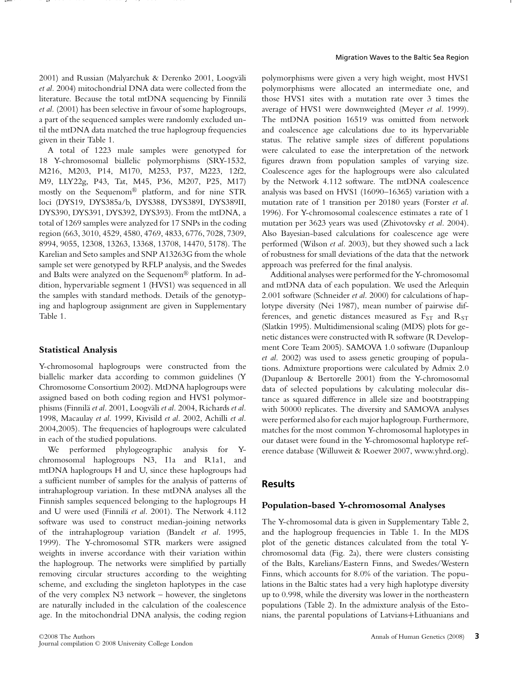2001) and Russian (Malyarchuk & Derenko 2001, Loogväli *et al.* 2004) mitochondrial DNA data were collected from the literature. Because the total mtDNA sequencing by Finnilä *et al.* (2001) has been selective in favour of some haplogroups, a part of the sequenced samples were randomly excluded until the mtDNA data matched the true haplogroup frequencies given in their Table 1.

ah<del>g2</del>029 ahag2006 v1.com February 19, 2008 : 1907

A total of 1223 male samples were genotyped for 18 Y-chromosomal biallelic polymorphisms (SRY-1532, M216, M203, P14, M170, M253, P37, M223, 12f2, M9, LLY22g, P43, Tat, M45, P36, M207, P25, M17) mostly on the Sequenom $^\circledR$  platform, and for nine STR loci (DYS19, DYS385a/b, DYS388, DYS389I, DYS389II, DYS390, DYS391, DYS392, DYS393). From the mtDNA, a total of 1269 samples were analyzed for 17 SNPs in the coding region (663, 3010, 4529, 4580, 4769, 4833, 6776, 7028, 7309, 8994, 9055, 12308, 13263, 13368, 13708, 14470, 5178). The Karelian and Seto samples and SNP A13263G from the whole sample set were genotyped by RFLP analysis, and the Swedes and Balts were analyzed on the Sequenom $^\circledR$  platform. In addition, hypervariable segment 1 (HVS1) was sequenced in all the samples with standard methods. Details of the genotyping and haplogroup assignment are given in Supplementary Table 1.

### **Statistical Analysis**

Y-chromosomal haplogroups were constructed from the biallelic marker data according to common guidelines (Y Chromosome Consortium 2002). MtDNA haplogroups were assigned based on both coding region and HVS1 polymorphisms (Finnilä et al. 2001, Loogväli et al. 2004, Richards et al. 1998, Macaulay *et al.* 1999, Kivisild *et al.* 2002, Achilli *et al.* 2004,2005). The frequencies of haplogroups were calculated in each of the studied populations.

We performed phylogeographic analysis for Ychromosomal haplogroups N3, I1a and R1a1, and mtDNA haplogroups H and U, since these haplogroups had a sufficient number of samples for the analysis of patterns of intrahaplogroup variation. In these mtDNA analyses all the Finnish samples sequenced belonging to the haplogroups H and U were used (Finnilä et al. 2001). The Network 4.112 software was used to construct median-joining networks of the intrahaplogroup variation (Bandelt *et al.* 1995, 1999). The Y-chromosomal STR markers were assigned weights in inverse accordance with their variation within the haplogroup. The networks were simplified by partially removing circular structures according to the weighting scheme, and excluding the singleton haplotypes in the case of the very complex N3 network – however, the singletons are naturally included in the calculation of the coalescence age. In the mitochondrial DNA analysis, the coding region polymorphisms were given a very high weight, most HVS1 polymorphisms were allocated an intermediate one, and those HVS1 sites with a mutation rate over 3 times the average of HVS1 were downweighted (Meyer *et al.* 1999). The mtDNA position 16519 was omitted from network and coalescence age calculations due to its hypervariable status. The relative sample sizes of different populations were calculated to ease the interpretation of the network figures drawn from population samples of varying size. Coalescence ages for the haplogroups were also calculated by the Network 4.112 software. The mtDNA coalescence analysis was based on HVS1 (16090–16365) variation with a mutation rate of 1 transition per 20180 years (Forster *et al.* 1996). For Y-chromosomal coalescence estimates a rate of 1 mutation per 3623 years was used (Zhivotovsky *et al.* 2004). Also Bayesian-based calculations for coalescence age were performed (Wilson *et al.* 2003), but they showed such a lack of robustness for small deviations of the data that the network approach was preferred for the final analysis.

Additional analyses were performed for the Y-chromosomal and mtDNA data of each population. We used the Arlequin 2.001 software (Schneider *et al.* 2000) for calculations of haplotype diversity (Nei 1987), mean number of pairwise differences, and genetic distances measured as  $F_{ST}$  and  $R_{ST}$ (Slatkin 1995). Multidimensional scaling (MDS) plots for genetic distances were constructed with R software (R Development Core Team 2005). SAMOVA 1.0 software (Dupanloup *et al.* 2002) was used to assess genetic grouping of populations. Admixture proportions were calculated by Admix 2.0 (Dupanloup & Bertorelle 2001) from the Y-chromosomal data of selected populations by calculating molecular distance as squared difference in allele size and bootstrapping with 50000 replicates. The diversity and SAMOVA analyses were performed also for each major haplogroup. Furthermore, matches for the most common Y-chromosomal haplotypes in our dataset were found in the Y-chromosomal haplotype reference database (Willuweit & Roewer 2007, www.yhrd.org).

## **Results**

### **Population-based Y-chromosomal Analyses**

The Y-chromosomal data is given in Supplementary Table 2, and the haplogroup frequencies in Table 1. In the MDS plot of the genetic distances calculated from the total Ychromosomal data (Fig. 2a), there were clusters consisting of the Balts, Karelians/Eastern Finns, and Swedes/Western Finns, which accounts for 8.0% of the variation. The populations in the Baltic states had a very high haplotype diversity up to 0.998, while the diversity was lower in the northeastern populations (Table 2). In the admixture analysis of the Estonians, the parental populations of Latvians+Lithuanians and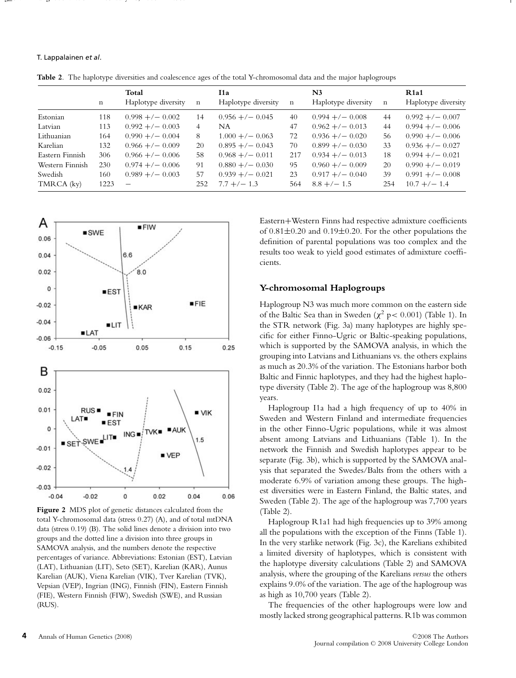|  |  |  | Table 2. The haplotype diversities and coalescence ages of the total Y-chromosomal data and the major haplogroups |  |  |  |  |  |
|--|--|--|-------------------------------------------------------------------------------------------------------------------|--|--|--|--|--|
|--|--|--|-------------------------------------------------------------------------------------------------------------------|--|--|--|--|--|

|                 |      | Total<br>Haplotype diversity |                | I1a<br>Haplotype diversity |     | N <sub>3</sub><br>Haplotype diversity | $\mathbf n$ | R <sub>1</sub> a <sub>1</sub><br>Haplotype diversity |
|-----------------|------|------------------------------|----------------|----------------------------|-----|---------------------------------------|-------------|------------------------------------------------------|
|                 | n    |                              | n              |                            | n   |                                       |             |                                                      |
| Estonian        | 118  | $0.998 +/- 0.002$            | 14             | $0.956 +/- 0.045$          | 40  | $0.994 +/- 0.008$                     | 44          | $0.992 +/- 0.007$                                    |
| Latvian         | 113  | $0.992 + (-0.003)$           | $\overline{4}$ | NA.                        | 47  | $0.962 + (-0.013)$                    | 44          | $0.994 + (-0.006)$                                   |
| Lithuanian      | 164  | $0.990 +/- 0.004$            | 8              | $1.000 + 7 - 0.063$        | 72  | $0.936 + (-0.020)$                    | 56          | $0.990 +/- 0.006$                                    |
| Karelian        | 132  | $0.966 +/- 0.009$            | 20             | $0.895 +/- 0.043$          | 70  | $0.899 +/- 0.030$                     | 33          | $0.936 +/- 0.027$                                    |
| Eastern Finnish | 306  | $0.966 +/- 0.006$            | 58             | $0.968 +/- 0.011$          | 217 | $0.934 + (-10.013)$                   | 18          | $0.994 + (-10.021)$                                  |
| Western Finnish | 230  | $0.974 +/- 0.006$            | 91             | $0.880 +/- 0.030$          | 95  | $0.960 +/- 0.009$                     | 20          | $0.990 +/- 0.019$                                    |
| Swedish         | 160  | $0.989 +/- 0.003$            | 57             | $0.939 +/- 0.021$          | 23  | $0.917 +/- 0.040$                     | 39          | $0.991 +/- 0.008$                                    |
| TMRCA (ky)      | 1223 | $\overline{\phantom{0}}$     | 252            | $7.7 +/- 1.3$              | 564 | $8.8 + / - 1.5$                       | 254         | $10.7 +/- 1.4$                                       |



**Figure 2** MDS plot of genetic distances calculated from the total Y-chromosomal data (stress 0.27) (A), and of total mtDNA data (stress 0.19) (B). The solid lines denote a division into two groups and the dotted line a division into three groups in SAMOVA analysis, and the numbers denote the respective percentages of variance. Abbreviations: Estonian (EST), Latvian (LAT), Lithuanian (LIT), Seto (SET), Karelian (KAR), Aunus Karelian (AUK), Viena Karelian (VIK), Tver Karelian (TVK), Vepsian (VEP), Ingrian (ING), Finnish (FIN), Eastern Finnish (FIE), Western Finnish (FIW), Swedish (SWE), and Russian (RUS).

Eastern+Western Finns had respective admixture coefficients of  $0.81\pm0.20$  and  $0.19\pm0.20$ . For the other populations the definition of parental populations was too complex and the results too weak to yield good estimates of admixture coefficients.

#### **Y-chromosomal Haplogroups**

Haplogroup N3 was much more common on the eastern side of the Baltic Sea than in Sweden ( $\chi^2$  p < 0.001) (Table 1). In the STR network (Fig. 3a) many haplotypes are highly specific for either Finno-Ugric or Baltic-speaking populations, which is supported by the SAMOVA analysis, in which the grouping into Latvians and Lithuanians vs. the others explains as much as 20.3% of the variation. The Estonians harbor both Baltic and Finnic haplotypes, and they had the highest haplotype diversity (Table 2). The age of the haplogroup was 8,800 years.

Haplogroup I1a had a high frequency of up to 40% in Sweden and Western Finland and intermediate frequencies in the other Finno-Ugric populations, while it was almost absent among Latvians and Lithuanians (Table 1). In the network the Finnish and Swedish haplotypes appear to be separate (Fig. 3b), which is supported by the SAMOVA analysis that separated the Swedes/Balts from the others with a moderate 6.9% of variation among these groups. The highest diversities were in Eastern Finland, the Baltic states, and Sweden (Table 2). The age of the haplogroup was 7,700 years (Table 2).

Haplogroup R1a1 had high frequencies up to 39% among all the populations with the exception of the Finns (Table 1). In the very starlike network (Fig. 3c), the Karelians exhibited a limited diversity of haplotypes, which is consistent with the haplotype diversity calculations (Table 2) and SAMOVA analysis, where the grouping of the Karelians *versus* the others explains 9.0% of the variation. The age of the haplogroup was as high as 10,700 years (Table 2).

The frequencies of the other haplogroups were low and mostly lacked strong geographical patterns. R1b was common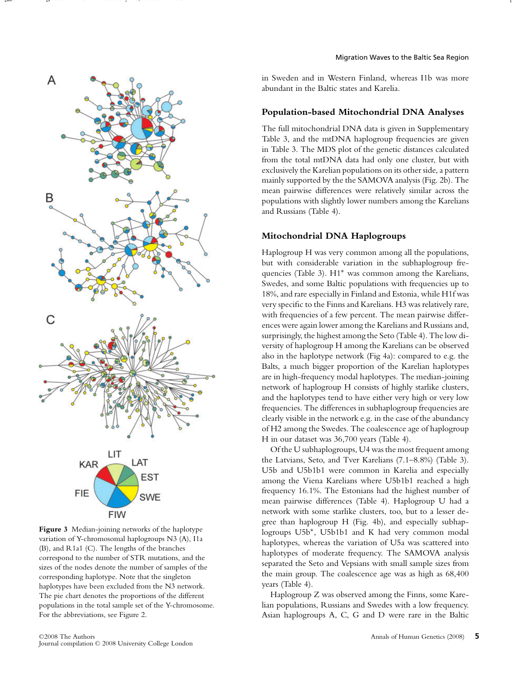

**Figure 3** Median-joining networks of the haplotype variation of Y-chromosomal haplogroups N3 (A), I1a (B), and R1a1 (C). The lengths of the branches correspond to the number of STR mutations, and the sizes of the nodes denote the number of samples of the corresponding haplotype. Note that the singleton haplotypes have been excluded from the N3 network. The pie chart denotes the proportions of the different populations in the total sample set of the Y-chromosome. For the abbreviations, see Figure 2.

in Sweden and in Western Finland, whereas I1b was more abundant in the Baltic states and Karelia.

## **Population-based Mitochondrial DNA Analyses**

The full mitochondrial DNA data is given in Supplementary Table 3, and the mtDNA haplogroup frequencies are given in Table 3. The MDS plot of the genetic distances calculated from the total mtDNA data had only one cluster, but with exclusively the Karelian populations on its other side, a pattern mainly supported by the the SAMOVA analysis (Fig. 2b). The mean pairwise differences were relatively similar across the populations with slightly lower numbers among the Karelians and Russians (Table 4).

# **Mitochondrial DNA Haplogroups**

Haplogroup H was very common among all the populations, but with considerable variation in the subhaplogroup frequencies (Table 3). H1<sup>∗</sup> was common among the Karelians, Swedes, and some Baltic populations with frequencies up to 18%, and rare especially in Finland and Estonia, while H1f was very specific to the Finns and Karelians. H3 was relatively rare, with frequencies of a few percent. The mean pairwise differences were again lower among the Karelians and Russians and, surprisingly, the highest among the Seto (Table 4). The low diversity of haplogroup H among the Karelians can be observed also in the haplotype network (Fig 4a): compared to e.g. the Balts, a much bigger proportion of the Karelian haplotypes are in high-frequency modal haplotypes. The median-joining network of haplogroup H consists of highly starlike clusters, and the haplotypes tend to have either very high or very low frequencies. The differences in subhaplogroup frequencies are clearly visible in the network e.g. in the case of the abundancy of H2 among the Swedes. The coalescence age of haplogroup H in our dataset was 36,700 years (Table 4).

Of the U subhaplogroups, U4 was the most frequent among the Latvians, Seto, and Tver Karelians (7.1–8.8%) (Table 3). U5b and U5b1b1 were common in Karelia and especially among the Viena Karelians where U5b1b1 reached a high frequency 16.1%. The Estonians had the highest number of mean pairwise differences (Table 4). Haplogroup U had a network with some starlike clusters, too, but to a lesser degree than haplogroup H (Fig. 4b), and especially subhaplogroups U5b∗, U5b1b1 and K had very common modal haplotypes, whereas the variation of U5a was scattered into haplotypes of moderate frequency. The SAMOVA analysis separated the Seto and Vepsians with small sample sizes from the main group. The coalescence age was as high as 68,400 years (Table 4).

Haplogroup Z was observed among the Finns, some Karelian populations, Russians and Swedes with a low frequency. Asian haplogroups A, C, G and D were rare in the Baltic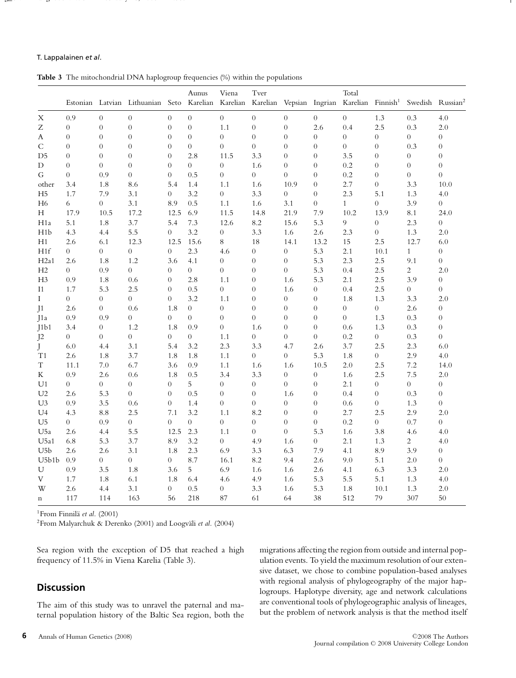**Table 3** The mitochondrial DNA haplogroup frequencies (%) within the populations

|                           |                  |                  | Estonian Latvian Lithuanian Seto Karelian |                  | Aunus            | Viena            | Tver             |                  |                  | Total<br>Karelian Karelian Vepsian Ingrian Karelian Finnish <sup>1</sup> |                  |                  | Swedish Russian <sup>2</sup> |
|---------------------------|------------------|------------------|-------------------------------------------|------------------|------------------|------------------|------------------|------------------|------------------|--------------------------------------------------------------------------|------------------|------------------|------------------------------|
| $\mathbf X$               | 0.9              | $\theta$         | $\boldsymbol{0}$                          | $\overline{0}$   | $\boldsymbol{0}$ | $\overline{0}$   | $\boldsymbol{0}$ | $\boldsymbol{0}$ | $\boldsymbol{0}$ | $\overline{0}$                                                           | 1.3              | 0.3              | 4.0                          |
| $\ensuremath{\mathbf{Z}}$ | $\overline{0}$   | $\theta$         | $\boldsymbol{0}$                          | $\overline{0}$   | $\boldsymbol{0}$ | 1.1              | $\boldsymbol{0}$ | $\overline{0}$   | 2.6              | 0.4                                                                      | 2.5              | 0.3              | 2.0                          |
| A                         | $\theta$         | $\theta$         | $\theta$                                  | $\overline{0}$   | $\boldsymbol{0}$ | $\boldsymbol{0}$ | $\boldsymbol{0}$ | $\overline{0}$   | $\theta$         | $\boldsymbol{0}$                                                         | $\overline{0}$   | $\overline{0}$   | $\overline{0}$               |
| C                         | $\theta$         | $\theta$         | $\theta$                                  | $\overline{0}$   | $\overline{0}$   | $\boldsymbol{0}$ | $\overline{0}$   | $\overline{0}$   | $\theta$         | $\overline{0}$                                                           | $\overline{0}$   | 0.3              | $\overline{0}$               |
| D <sub>5</sub>            | $\overline{0}$   | $\overline{0}$   | $\theta$                                  | $\overline{0}$   | 2.8              | 11.5             | 3.3              | $\overline{0}$   | $\boldsymbol{0}$ | 3.5                                                                      | $\boldsymbol{0}$ | $\boldsymbol{0}$ | $\boldsymbol{0}$             |
| D                         | $\Omega$         | $\theta$         | $\theta$                                  | $\overline{0}$   | $\overline{0}$   | $\boldsymbol{0}$ | 1.6              | $\overline{0}$   | $\overline{0}$   | 0.2                                                                      | $\theta$         | $\overline{0}$   | $\theta$                     |
| G                         | $\overline{0}$   | 0.9              | $\boldsymbol{0}$                          | $\overline{0}$   | 0.5              | $\boldsymbol{0}$ | $\boldsymbol{0}$ | $\overline{0}$   | $\boldsymbol{0}$ | 0.2                                                                      | $\overline{0}$   | $\theta$         | $\boldsymbol{0}$             |
| other                     | 3.4              | 1.8              | 8.6                                       | 5.4              | 1.4              | 1.1              | 1.6              | 10.9             | $\boldsymbol{0}$ | 2.7                                                                      | $\overline{0}$   | 3.3              | 10.0                         |
| H <sub>5</sub>            | 1.7              | 7.9              | 3.1                                       | $\overline{0}$   | 3.2              | $\overline{0}$   | 3.3              | $\overline{0}$   | $\overline{0}$   | 2.3                                                                      | 5.1              | 1.3              | 4.0                          |
| H <sub>6</sub>            | 6                | $\overline{0}$   | 3.1                                       | 8.9              | 0.5              | 1.1              | 1.6              | 3.1              | $\boldsymbol{0}$ | $\mathbf{1}$                                                             | $\boldsymbol{0}$ | 3.9              | $\overline{0}$               |
| Н                         | 17.9             | 10.5             | 17.2                                      | 12.5             | 6.9              | 11.5             | 14.8             | 21.9             | 7.9              | 10.2                                                                     | 13.9             | 8.1              | 24.0                         |
| H <sub>1</sub> a          | 5.1              | 1.8              | 3.7                                       | 5.4              | 7.3              | 12.6             | 8.2              | 15.6             | 5.3              | 9                                                                        | $\boldsymbol{0}$ | 2.3              | $\boldsymbol{0}$             |
| H <sub>1</sub> b          | 4.3              | 4.4              | 5.5                                       | $\theta$         | 3.2              | $\boldsymbol{0}$ | 3.3              | 1.6              | 2.6              | 2.3                                                                      | $\overline{0}$   | 1.3              | 2.0                          |
| H1                        | 2.6              | 6.1              | 12.3                                      | 12.5             | 15.6             | 8                | 18               | 14.1             | 13.2             | 15                                                                       | 2.5              | 12.7             | 6.0                          |
| H1f                       | $\overline{0}$   | $\overline{0}$   | $\boldsymbol{0}$                          | $\overline{0}$   | 2.3              | 4.6              | $\overline{0}$   | $\overline{0}$   | 5.3              | 2.1                                                                      | 10.1             | $\mathbf{1}$     | $\overline{0}$               |
| H2a1                      | 2.6              | 1.8              | 1.2                                       | 3.6              | 4.1              | $\boldsymbol{0}$ | $\overline{0}$   | $\overline{0}$   | 5.3              | 2.3                                                                      | 2.5              | 9.1              | $\overline{0}$               |
| H <sub>2</sub>            | $\overline{0}$   | 0.9              | $\overline{0}$                            | $\overline{0}$   | $\overline{0}$   | $\overline{0}$   | $\boldsymbol{0}$ | $\overline{0}$   | 5.3              | 0.4                                                                      | 2.5              | $\overline{c}$   | $2.0\,$                      |
| H <sub>3</sub>            | 0.9              | 1.8              | 0.6                                       | $\overline{0}$   | 2.8              | 1.1              | $\overline{0}$   | 1.6              | 5.3              | 2.1                                                                      | 2.5              | 3.9              | $\overline{0}$               |
| I1                        | 1.7              | 5.3              | 2.5                                       | $\overline{0}$   | 0.5              | $\boldsymbol{0}$ | $\overline{0}$   | 1.6              | $\overline{0}$   | 0.4                                                                      | $2.5\,$          | $\boldsymbol{0}$ | $\boldsymbol{0}$             |
| $\bf{I}$                  | $\boldsymbol{0}$ | $\theta$         | $\boldsymbol{0}$                          | $\boldsymbol{0}$ | 3.2              | 1.1              | $\overline{0}$   | $\overline{0}$   | $\boldsymbol{0}$ | 1.8                                                                      | 1.3              | 3.3              | 2.0                          |
| J <sub>1</sub>            | 2.6              | $\overline{0}$   | 0.6                                       | 1.8              | $\boldsymbol{0}$ | $\boldsymbol{0}$ | $\overline{0}$   | $\overline{0}$   | $\boldsymbol{0}$ | $\overline{0}$                                                           | $\overline{0}$   | 2.6              | $\boldsymbol{0}$             |
| J1a                       | 0.9              | 0.9              | $\boldsymbol{0}$                          | $\overline{0}$   | $\overline{0}$   | $\overline{0}$   | $\overline{0}$   | $\overline{0}$   | $\overline{0}$   | $\overline{0}$                                                           | 1.3              | 0.3              | $\theta$                     |
| J1b1                      | 3.4              | $\theta$         | 1.2                                       | 1.8              | 0.9              | $\boldsymbol{0}$ | 1.6              | $\overline{0}$   | $\theta$         | 0.6                                                                      | 1.3              | 0.3              | $\boldsymbol{0}$             |
| J <sub>2</sub>            | $\overline{0}$   | $\theta$         | $\overline{0}$                            | $\overline{0}$   | $\overline{0}$   | 1.1              | $\overline{0}$   | $\overline{0}$   | $\overline{0}$   | 0.2                                                                      | $\boldsymbol{0}$ | 0.3              | $\overline{0}$               |
| J                         | 6.0              | 4.4              | 3.1                                       | 5.4              | 3.2              | 2.3              | 3.3              | 4.7              | 2.6              | 3.7                                                                      | 2.5              | 2.3              | 6.0                          |
| T1                        | 2.6              | 1.8              | 3.7                                       | 1.8              | 1.8              | 1.1              | $\overline{0}$   | $\overline{0}$   | 5.3              | 1.8                                                                      | $\overline{0}$   | 2.9              | 4.0                          |
| T                         | 11.1             | 7.0              | 6.7                                       | 3.6              | 0.9              | 1.1              | 1.6              | 1.6              | 10.5             | 2.0                                                                      | 2.5              | 7.2              | 14.0                         |
| K                         | 0.9              | 2.6              | 0.6                                       | 1.8              | 0.5              | 3.4              | 3.3              | $\boldsymbol{0}$ | $\boldsymbol{0}$ | 1.6                                                                      | 2.5              | 7.5              | $2.0\,$                      |
| U <sub>1</sub>            | $\overline{0}$   | $\overline{0}$   | $\boldsymbol{0}$                          | $\overline{0}$   | 5                | $\boldsymbol{0}$ | $\overline{0}$   | $\overline{0}$   | $\overline{0}$   | 2.1                                                                      | $\boldsymbol{0}$ | $\overline{0}$   | $\boldsymbol{0}$             |
| U <sub>2</sub>            | 2.6              | 5.3              | $\boldsymbol{0}$                          | $\Omega$         | 0.5              | $\boldsymbol{0}$ | $\boldsymbol{0}$ | 1.6              | $\boldsymbol{0}$ | 0.4                                                                      | $\boldsymbol{0}$ | 0.3              | $\boldsymbol{0}$             |
| U <sub>3</sub>            | 0.9              | 3.5              | 0.6                                       | $\overline{0}$   | 1.4              | $\overline{0}$   | $\boldsymbol{0}$ | $\overline{0}$   | $\overline{0}$   | 0.6                                                                      | $\boldsymbol{0}$ | 1.3              | $\boldsymbol{0}$             |
| U <sub>4</sub>            | 4.3              | 8.8              | 2.5                                       | 7.1              | 3.2              | 1.1              | 8.2              | $\overline{0}$   | $\overline{0}$   | 2.7                                                                      | 2.5              | 2.9              | 2.0                          |
| U5                        | $\overline{0}$   | 0.9              | $\boldsymbol{0}$                          | $\overline{0}$   | $\overline{0}$   | $\overline{0}$   | $\overline{0}$   | $\overline{0}$   | $\boldsymbol{0}$ | 0.2                                                                      | $\overline{0}$   | 0.7              | $\overline{0}$               |
| U <sub>5a</sub>           | 2.6              | 4.4              | 5.5                                       | 12.5             | 2.3              | 1.1              | $\overline{0}$   | $\overline{0}$   | 5.3              | 1.6                                                                      | 3.8              | 4.6              | 4.0                          |
| U5a1                      | 6.8              | 5.3              | 3.7                                       | 8.9              | 3.2              | $\boldsymbol{0}$ | 4.9              | 1.6              | $\overline{0}$   | 2.1                                                                      | 1.3              | $\overline{c}$   | 4.0                          |
| U5b                       | 2.6              | 2.6              | 3.1                                       | 1.8              | 2.3              | 6.9              | 3.3              | 6.3              | 7.9              | 4.1                                                                      | 8.9              | 3.9              | $\theta$                     |
| U5b1b                     | 0.9              | $\boldsymbol{0}$ | $\overline{0}$                            | $\overline{0}$   | 8.7              | 16.1             | 8.2              | 9.4              | 2.6              | 9.0                                                                      | $5.1\,$          | $2.0\,$          | $\overline{0}$               |
| U                         | 0.9              | 3.5              | 1.8                                       | 3.6              | 5                | 6.9              | 1.6              | 1.6              | 2.6              | 4.1                                                                      | 6.3              | 3.3              | 2.0                          |
| V                         | 1.7              | 1.8              | 6.1                                       | 1.8              | 6.4              | 4.6              | 4.9              | 1.6              | 5.3              | 5.5                                                                      | 5.1              | 1.3              | 4.0                          |
| W                         | 2.6              | 4.4              | 3.1                                       | $\boldsymbol{0}$ | 0.5              | $\boldsymbol{0}$ | 3.3              | 1.6              | 5.3              | 1.8                                                                      | 10.1             | 1.3              | 2.0                          |
| n                         | 117              | 114              | 163                                       | 56               | 218              | 87               | 61               | 64               | 38               | 512                                                                      | 79               | 307              | 50                           |

1From Finnila¨ *et al.* (2001)

<sup>2</sup> From Malyarchuk & Derenko (2001) and Loogväli et al. (2004)

Sea region with the exception of D5 that reached a high frequency of 11.5% in Viena Karelia (Table 3).

# **Discussion**

The aim of this study was to unravel the paternal and maternal population history of the Baltic Sea region, both the migrations affecting the region from outside and internal population events. To yield the maximum resolution of our extensive dataset, we chose to combine population-based analyses with regional analysis of phylogeography of the major haplogroups. Haplotype diversity, age and network calculations are conventional tools of phylogeographic analysis of lineages, but the problem of network analysis is that the method itself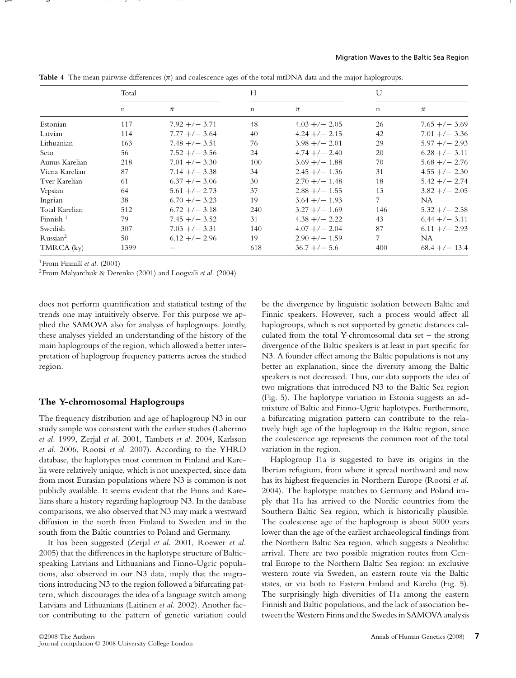|                      | Total       |                   | H           |                   | U           |                   |  |
|----------------------|-------------|-------------------|-------------|-------------------|-------------|-------------------|--|
|                      | $\mathbf n$ | $\pi$             | $\mathbf n$ | $\pi$             | $\mathbf n$ | $\pi$             |  |
| Estonian             | 117         | $7.92 + / - 3.71$ | 48          | $4.03 +/- 2.05$   | 26          | $7.65 +/- 3.69$   |  |
| Latvian              | 114         | $7.77 + / - 3.64$ | 40          | $4.24 + / - 2.15$ | 42          | $7.01 + (-3.36)$  |  |
| Lithuanian           | 163         | $7.48 + / - 3.51$ | 76          | $3.98 + / - 2.01$ | 29          | $5.97 + / - 2.93$ |  |
| Seto                 | 56          | $7.52 + / - 3.56$ | 24          | $4.74 + / - 2.40$ | 20          | $6.28 +/- 3.11$   |  |
| Aunus Karelian       | 218         | $7.01 + (-3.30)$  | 100         | $3.69 + / - 1.88$ | 70          | $5.68 + / - 2.76$ |  |
| Viena Karelian       | 87          | $7.14 + / - 3.38$ | 34          | $2.45 +/- 1.36$   | 31          | $4.55 +/- 2.30$   |  |
| Tver Karelian        | -61         | $6.37 +/- 3.06$   | 30          | $2.70 +/- 1.48$   | 18          | $5.42 + / - 2.74$ |  |
| Vepsian              | 64          | $5.61 + / - 2.73$ | 37          | $2.88 + / - 1.55$ | 13          | $3.82 + / - 2.05$ |  |
| Ingrian              | 38          | $6.70 +/- 3.23$   | 19          | $3.64 +/- 1.93$   |             | NA                |  |
| Total Karelian       | 512         | $6.72 + / - 3.18$ | 240         | $3.27 +/- 1.69$   | 146         | $5.32 + / - 2.58$ |  |
| Finnish $1$          | 79          | $7.45 + / - 3.52$ | 31          | $4.38 + / - 2.22$ | 43          | $6.44 +/- 3.11$   |  |
| Swedish              | 307         | $7.03 +/- 3.31$   | 140         | $4.07 +/- 2.04$   | 87          | $6.11 +/- 2.93$   |  |
| Russian <sup>2</sup> | 50          | $6.12 + (-2.96)$  | 19          | $2.90 +/- 1.59$   | 7           | <b>NA</b>         |  |
| TMRCA (ky)           | 1399        |                   | 618         | $36.7 +/- 5.6$    | 400         | $68.4 +/- 13.4$   |  |

**Table 4** The mean pairwise differences (*π*) and coalescence ages of the total mtDNA data and the major haplogroups.

1From Finnila¨ *et al.* (2001)

ah<del>g2</del>029 ahag2006 v1.com February 19, 2008 : 1907

<sup>2</sup> From Malyarchuk & Derenko (2001) and Loogväli et al. (2004)

does not perform quantification and statistical testing of the trends one may intuitively observe. For this purpose we applied the SAMOVA also for analysis of haplogroups. Jointly, these analyses yielded an understanding of the history of the main haplogroups of the region, which allowed a better interpretation of haplogroup frequency patterns across the studied region.

### **The Y-chromosomal Haplogroups**

The frequency distribution and age of haplogroup N3 in our study sample was consistent with the earlier studies (Lahermo *et al.* 1999, Zerjal *et al.* 2001, Tambets *et al.* 2004, Karlsson *et al.* 2006, Rootsi *et al.* 2007). According to the YHRD database, the haplotypes most common in Finland and Karelia were relatively unique, which is not unexpected, since data from most Eurasian populations where N3 is common is not publicly available. It seems evident that the Finns and Karelians share a history regarding haplogroup N3. In the database comparisons, we also observed that N3 may mark a westward diffusion in the north from Finland to Sweden and in the south from the Baltic countries to Poland and Germany.

It has been suggested (Zerjal *et al.* 2001, Roewer *et al.* 2005) that the differences in the haplotype structure of Balticspeaking Latvians and Lithuanians and Finno-Ugric populations, also observed in our N3 data, imply that the migrations introducing N3 to the region followed a bifurcating pattern, which discourages the idea of a language switch among Latvians and Lithuanians (Laitinen *et al.* 2002). Another factor contributing to the pattern of genetic variation could be the divergence by linguistic isolation between Baltic and Finnic speakers. However, such a process would affect all haplogroups, which is not supported by genetic distances calculated from the total Y-chromosomal data set – the strong divergence of the Baltic speakers is at least in part specific for N3. A founder effect among the Baltic populations is not any better an explanation, since the diversity among the Baltic speakers is not decreased. Thus, our data supports the idea of two migrations that introduced N3 to the Baltic Sea region (Fig. 5). The haplotype variation in Estonia suggests an admixture of Baltic and Finno-Ugric haplotypes. Furthermore, a bifurcating migration pattern can contribute to the relatively high age of the haplogroup in the Baltic region, since the coalescence age represents the common root of the total variation in the region.

Haplogroup I1a is suggested to have its origins in the Iberian refugium, from where it spread northward and now has its highest frequencies in Northern Europe (Rootsi *et al.* 2004). The haplotype matches to Germany and Poland imply that I1a has arrived to the Nordic countries from the Southern Baltic Sea region, which is historically plausible. The coalescense age of the haplogroup is about 5000 years lower than the age of the earliest archaeological findings from the Northern Baltic Sea region, which suggests a Neolithic arrival. There are two possible migration routes from Central Europe to the Northern Baltic Sea region: an exclusive western route via Sweden, an eastern route via the Baltic states, or via both to Eastern Finland and Karelia (Fig. 5). The surprisingly high diversities of I1a among the eastern Finnish and Baltic populations, and the lack of association between the Western Finns and the Swedes in SAMOVA analysis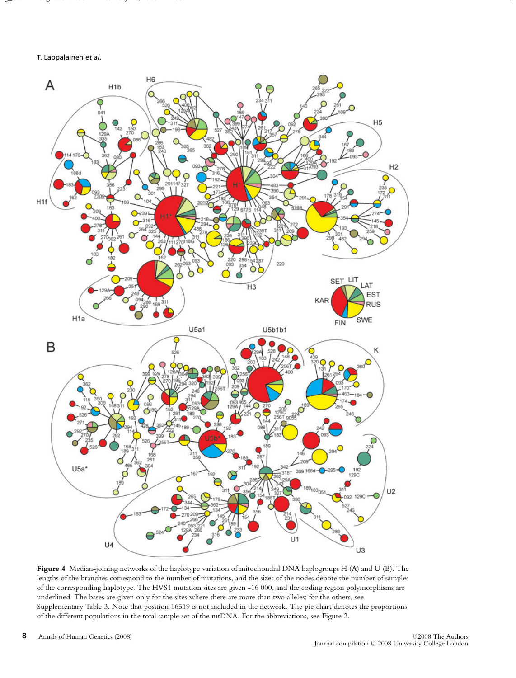

**Figure 4** Median-joining networks of the haplotype variation of mitochondial DNA haplogroups H (A) and U (B). The lengths of the branches correspond to the number of mutations, and the sizes of the nodes denote the number of samples of the corresponding haplotype. The HVS1 mutation sites are given -16 000, and the coding region polymorphisms are underlined. The bases are given only for the sites where there are more than two alleles; for the others, see Supplementary Table 3. Note that position 16519 is not included in the network. The pie chart denotes the proportions of the different populations in the total sample set of the mtDNA. For the abbreviations, see Figure 2.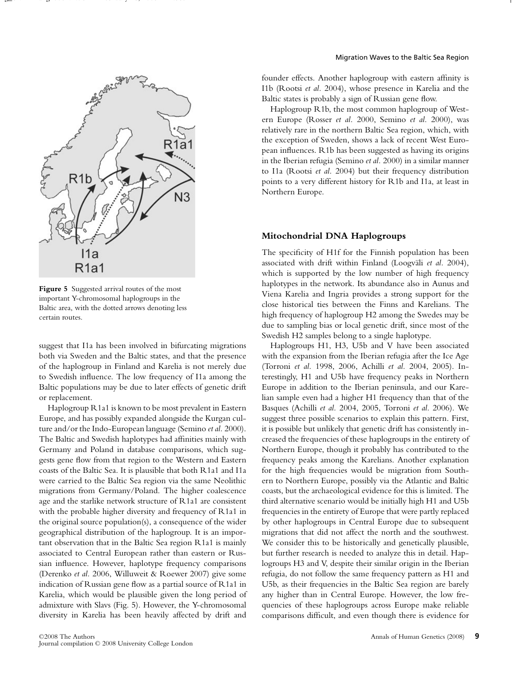

**Figure 5** Suggested arrival routes of the most important Y-chromosomal haplogroups in the Baltic area, with the dotted arrows denoting less certain routes.

suggest that I1a has been involved in bifurcating migrations both via Sweden and the Baltic states, and that the presence of the haplogroup in Finland and Karelia is not merely due to Swedish influence. The low frequency of I1a among the Baltic populations may be due to later effects of genetic drift or replacement.

Haplogroup R1a1 is known to be most prevalent in Eastern Europe, and has possibly expanded alongside the Kurgan culture and/or the Indo-European language (Semino *et al.* 2000). The Baltic and Swedish haplotypes had affinities mainly with Germany and Poland in database comparisons, which suggests gene flow from that region to the Western and Eastern coasts of the Baltic Sea. It is plausible that both R1a1 and I1a were carried to the Baltic Sea region via the same Neolithic migrations from Germany/Poland. The higher coalescence age and the starlike network structure of R1a1 are consistent with the probable higher diversity and frequency of R1a1 in the original source population(s), a consequence of the wider geographical distribution of the haplogroup. It is an important observation that in the Baltic Sea region R1a1 is mainly associated to Central European rather than eastern or Russian influence. However, haplotype frequency comparisons (Derenko *et al.* 2006, Willuweit & Roewer 2007) give some indication of Russian gene flow as a partial source of R1a1 in Karelia, which would be plausible given the long period of admixture with Slavs (Fig. 5). However, the Y-chromosomal diversity in Karelia has been heavily affected by drift and founder effects. Another haplogroup with eastern affinity is I1b (Rootsi *et al.* 2004), whose presence in Karelia and the Baltic states is probably a sign of Russian gene flow.

Haplogroup R1b, the most common haplogroup of Western Europe (Rosser *et al.* 2000, Semino *et al.* 2000), was relatively rare in the northern Baltic Sea region, which, with the exception of Sweden, shows a lack of recent West European influences. R1b has been suggested as having its origins in the Iberian refugia (Semino *et al.* 2000) in a similar manner to I1a (Rootsi *et al.* 2004) but their frequency distribution points to a very different history for R1b and I1a, at least in Northern Europe.

### **Mitochondrial DNA Haplogroups**

The specificity of H1f for the Finnish population has been associated with drift within Finland (Loogvali et al. 2004), which is supported by the low number of high frequency haplotypes in the network. Its abundance also in Aunus and Viena Karelia and Ingria provides a strong support for the close historical ties between the Finns and Karelians. The high frequency of haplogroup H2 among the Swedes may be due to sampling bias or local genetic drift, since most of the Swedish H2 samples belong to a single haplotype.

Haplogroups H1, H3, U5b and V have been associated with the expansion from the Iberian refugia after the Ice Age (Torroni *et al.* 1998, 2006, Achilli *et al.* 2004, 2005). Interestingly, H1 and U5b have frequency peaks in Northern Europe in addition to the Iberian peninsula, and our Karelian sample even had a higher H1 frequency than that of the Basques (Achilli *et al.* 2004, 2005, Torroni *et al.* 2006). We suggest three possible scenarios to explain this pattern. First, it is possible but unlikely that genetic drift has consistently increased the frequencies of these haplogroups in the entirety of Northern Europe, though it probably has contributed to the frequency peaks among the Karelians. Another explanation for the high frequencies would be migration from Southern to Northern Europe, possibly via the Atlantic and Baltic coasts, but the archaeological evidence for this is limited. The third alternative scenario would be initially high H1 and U5b frequencies in the entirety of Europe that were partly replaced by other haplogroups in Central Europe due to subsequent migrations that did not affect the north and the southwest. We consider this to be historically and genetically plausible, but further research is needed to analyze this in detail. Haplogroups H3 and V, despite their similar origin in the Iberian refugia, do not follow the same frequency pattern as H1 and U5b, as their frequencies in the Baltic Sea region are barely any higher than in Central Europe. However, the low frequencies of these haplogroups across Europe make reliable comparisons difficult, and even though there is evidence for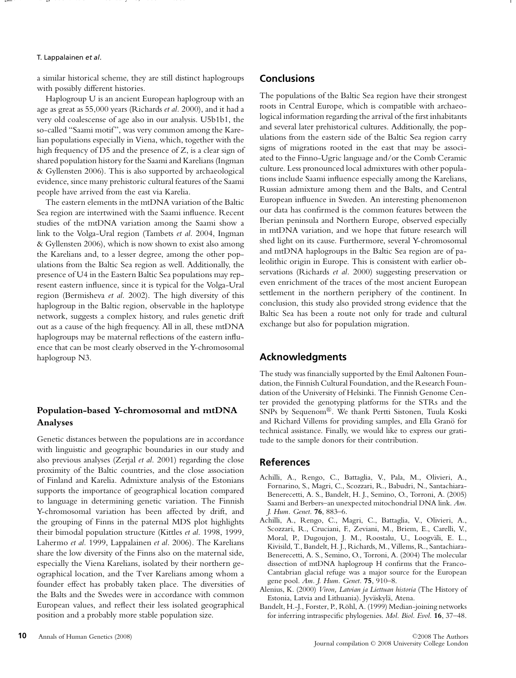ah<del>g2</del>029 ahag2006 v1.com February 19, 2008 : 1907

a similar historical scheme, they are still distinct haplogroups with possibly different histories.

Haplogroup U is an ancient European haplogroup with an age as great as 55,000 years (Richards *et al.* 2000), and it had a very old coalescense of age also in our analysis. U5b1b1, the so-called "Saami motif", was very common among the Karelian populations especially in Viena, which, together with the high frequency of D5 and the presence of Z, is a clear sign of shared population history for the Saami and Karelians (Ingman & Gyllensten 2006). This is also supported by archaeological evidence, since many prehistoric cultural features of the Saami people have arrived from the east via Karelia.

The eastern elements in the mtDNA variation of the Baltic Sea region are intertwined with the Saami influence. Recent studies of the mtDNA variation among the Saami show a link to the Volga-Ural region (Tambets *et al.* 2004, Ingman & Gyllensten 2006), which is now shown to exist also among the Karelians and, to a lesser degree, among the other populations from the Baltic Sea region as well. Additionally, the presence of U4 in the Eastern Baltic Sea populations may represent eastern influence, since it is typical for the Volga-Ural region (Bermisheva *et al.* 2002). The high diversity of this haplogroup in the Baltic region, observable in the haplotype network, suggests a complex history, and rules genetic drift out as a cause of the high frequency. All in all, these mtDNA haplogroups may be maternal reflections of the eastern influence that can be most clearly observed in the Y-chromosomal haplogroup N3.

# **Population-based Y-chromosomal and mtDNA Analyses**

Genetic distances between the populations are in accordance with linguistic and geographic boundaries in our study and also previous analyses (Zerjal *et al.* 2001) regarding the close proximity of the Baltic countries, and the close association of Finland and Karelia. Admixture analysis of the Estonians supports the importance of geographical location compared to language in determining genetic variation. The Finnish Y-chromosomal variation has been affected by drift, and the grouping of Finns in the paternal MDS plot highlights their bimodal population structure (Kittles *et al.* 1998, 1999, Lahermo *et al.* 1999, Lappalainen *et al.* 2006). The Karelians share the low diversity of the Finns also on the maternal side, especially the Viena Karelians, isolated by their northern geographical location, and the Tver Karelians among whom a founder effect has probably taken place. The diversities of the Balts and the Swedes were in accordance with common European values, and reflect their less isolated geographical position and a probably more stable population size.

# **Conclusions**

The populations of the Baltic Sea region have their strongest roots in Central Europe, which is compatible with archaeological information regarding the arrival of the first inhabitants and several later prehistorical cultures. Additionally, the populations from the eastern side of the Baltic Sea region carry signs of migrations rooted in the east that may be associated to the Finno-Ugric language and/or the Comb Ceramic culture. Less pronounced local admixtures with other populations include Saami influence especially among the Karelians, Russian admixture among them and the Balts, and Central European influence in Sweden. An interesting phenomenon our data has confirmed is the common features between the Iberian peninsula and Northern Europe, observed especially in mtDNA variation, and we hope that future research will shed light on its cause. Furthermore, several Y-chromosomal and mtDNA haplogroups in the Baltic Sea region are of paleolithic origin in Europe. This is consistent with earlier observations (Richards *et al.* 2000) suggesting preservation or even enrichment of the traces of the most ancient European settlement in the northern periphery of the continent. In conclusion, this study also provided strong evidence that the Baltic Sea has been a route not only for trade and cultural exchange but also for population migration.

# **Acknowledgments**

The study was financially supported by the Emil Aaltonen Foundation, the Finnish Cultural Foundation, and the Research Foundation of the University of Helsinki. The Finnish Genome Center provided the genotyping platforms for the STRs and the SNPs by Sequenom®. We thank Pertti Sistonen, Tuula Koski and Richard Villems for providing samples, and Ella Grano for technical assistance. Finally, we would like to express our gratitude to the sample donors for their contribution.

## **References**

- Achilli, A., Rengo, C., Battaglia, V., Pala, M., Olivieri, A., Fornarino, S., Magri, C., Scozzari, R., Babudri, N., Santachiara-Benerecetti, A. S., Bandelt, H. J., Semino, O., Torroni, A. (2005) Saami and Berbers–an unexpected mitochondrial DNA link. *Am. J. Hum. Genet.* **76**, 883–6.
- Achilli, A., Rengo, C., Magri, C., Battaglia, V., Olivieri, A., Scozzari, R., Cruciani, F., Zeviani, M., Briem, E., Carelli, V., Moral, P., Dugoujon, J. M., Roostalu, U., Loogväli, E. L., Kivisild, T., Bandelt, H. J., Richards, M., Villems, R., Santachiara-Benerecetti, A. S., Semino, O., Torroni, A. (2004) The molecular dissection of mtDNA haplogroup H confirms that the Franco-Cantabrian glacial refuge was a major source for the European gene pool. *Am. J. Hum. Genet.* **75**, 910–8.
- Alenius, K. (2000) *Viron, Latvian ja Liettuan historia* (The History of Estonia, Latvia and Lithuania). Jyväskylä, Atena.
- Bandelt, H.-J., Forster, P., Röhl, A. (1999) Median-joining networks for inferring intraspecific phylogenies. *Mol. Biol. Evol.* **16**, 37–48.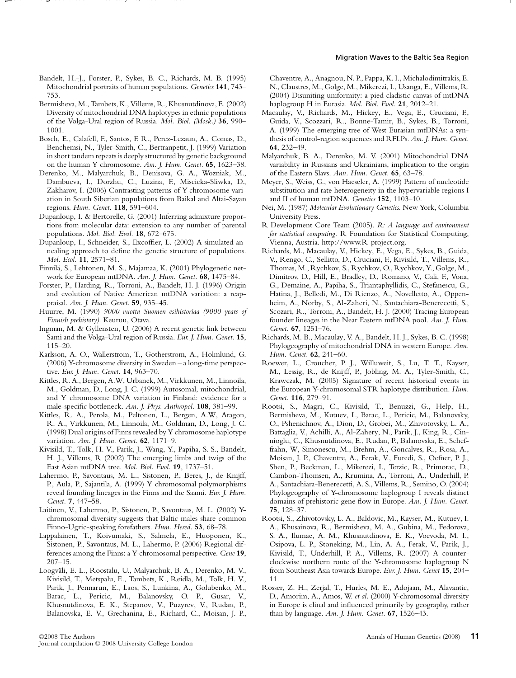#### Migration Waves to the Baltic Sea Region

Bandelt, H.-J., Forster, P., Sykes, B. C., Richards, M. B. (1995) Mitochondrial portraits of human populations. *Genetics* **141**, 743– 753.

ah<del>g2</del>029 ahag2006 v1.com February 19, 2008 : 1907

- Bermisheva, M., Tambets, K., Villems, R., Khusnutdinova, E. (2002) Diversity of mitochondrial DNA haplotypes in ethnic populations of the Volga-Ural region of Russia. *Mol. Biol. (Mosk.)* **36**, 990– 1001.
- Bosch, E., Calafell, F., Santos, F. R., Perez-Lezaun, A., Comas, D., Benchemsi, N., Tyler-Smith, C., Bertranpetit, J. (1999) Variation in short tandem repeats is deeply structured by genetic background on the human Y chromosome. *Am. J. Hum. Genet.* **65**, 1623–38.
- Derenko, M., Malyarchuk, B., Denisova, G. A., Wozniak, M., Dambueva, I., Dorzhu, C., Luzina, F., Miscicka-Sliwka, D., Zakharov, I. (2006) Contrasting patterns of Y-chromosome variation in South Siberian populations from Baikal and Altai-Sayan regions. *Hum. Genet.* **118**, 591–604.
- Dupanloup, I. & Bertorelle, G. (2001) Inferring admixture proportions from molecular data: extension to any number of parental populations. *Mol. Biol. Evol.* **18**, 672–675.
- Dupanloup, I., Schneider, S., Excoffier, L. (2002) A simulated annealing approach to define the genetic structure of populations. *Mol. Ecol.* **11**, 2571–81.
- Finnilä, S., Lehtonen, M. S., Majamaa, K. (2001) Phylogenetic network for European mtDNA. *Am. J. Hum. Genet.* **68**, 1475–84.
- Forster, P., Harding, R., Torroni, A., Bandelt, H. J. (1996) Origin and evolution of Native American mtDNA variation: a reappraisal. *Am. J. Hum. Genet*. **59**, 935–45.
- Huurre, M. (1990) *9000 vuotta Suomen esihistoriaa (9000 years of Finnish prehistory)*. Keuruu, Otava.
- Ingman, M. & Gyllensten, U. (2006) A recent genetic link between Sami and the Volga-Ural region of Russia. *Eur. J. Hum. Genet.* **15**, 115–20.
- Karlsson, A. O., Wallerstrom, T., Gotherstrom, A., Holmlund, G. (2006) Y-chromosome diversity in Sweden – a long-time perspective. *Eur. J. Hum. Genet.* **14**, 963–70.
- Kittles, R. A., Bergen, A.W, Urbanek, M., Virkkunen, M., Linnoila, M., Goldman, D., Long, J. C. (1999) Autosomal, mitochondrial, and Y chromosome DNA variation in Finland: evidence for a male-specific bottleneck. *Am. J. Phys. Anthropol.* **108**, 381–99.
- Kittles, R. A., Perola, M., Peltonen, L., Bergen, A.W, Aragon, R. A., Virkkunen, M., Linnoila, M., Goldman, D., Long, J. C. (1998) Dual origins of Finns revealed by Y chromosome haplotype variation. *Am. J. Hum. Genet.* **62**, 1171–9.
- Kivisild, T., Tolk, H. V., Parik, J., Wang, Y., Papiha, S. S., Bandelt, H. J., Villems, R (2002) The emerging limbs and twigs of the East Asian mtDNA tree. *Mol. Biol. Evol.* **19**, 1737–51.
- Lahermo, P., Savontaus, M. L., Sistonen, P., Beres, J., de Knijff, P., Aula, P., Sajantila, A. (1999) Y chromosomal polymorphisms reveal founding lineages in the Finns and the Saami. *Eur. J. Hum. Genet.* **7**, 447–58.
- Laitinen, V., Lahermo, P., Sistonen, P., Savontaus, M. L. (2002) Ychromosomal diversity suggests that Baltic males share common Finno-Ugric-speaking forefathers. *Hum. Hered.* **53**, 68–78.
- Lappalainen, T., Koivumaki, S., Salmela, E., Huoponen, K., Sistonen, P., Savontaus, M. L., Lahermo, P. (2006) Regional differences among the Finns: a Y-chromosomal perspective. *Gene* **19**, 207–15.
- Loogväli, E. L., Roostalu, U., Malyarchuk, B. A., Derenko, M. V., Kivisild, T., Metspalu, E., Tambets, K., Reidla, M., Tolk, H. V., Parik, J., Pennarun, E., Laos, S., Lunkina, A., Golubenko, M., Barac, L., Pericic, M., Balanovsky, O. P., Gusar, V., Khusnutdinova, E. K., Stepanov, V., Puzyrev, V., Rudan, P., Balanovska, E. V., Grechanina, E., Richard, C., Moisan, J. P.,

Chaventre, A., Anagnou, N. P., Pappa, K. I., Michalodimitrakis, E. N., Claustres, M., Golge, M., Mikerezi, I., Usanga, E., Villems, R. (2004) Disuniting uniformity: a pied cladistic canvas of mtDNA haplogroup H in Eurasia. *Mol. Biol. Evol.* **21**, 2012–21. Macaulay, V., Richards, M., Hickey, E., Vega, E., Cruciani, F.,

- Guida, V., Scozzari, R., Bonne-Tamir, B., Sykes, B., Torroni, A. (1999) The emerging tree of West Eurasian mtDNAs: a synthesis of control-region sequences and RFLPs. *Am. J. Hum. Genet.* **64**, 232–49.
- Malyarchuk, B. A., Derenko, M. V. (2001) Mitochondrial DNA variability in Russians and Ukrainians, implication to the origin of the Eastern Slavs. *Ann. Hum. Genet.* **65**, 63–78.
- Meyer, S., Weiss, G., von Haeseler, A. (1999) Pattern of nucleotide substitution and rate heterogeneity in the hypervariable regions I and II of human mtDNA. *Genetics* **152**, 1103–10.
- Nei, M. (1987) *Molecular Evolutionary Genetics.* New York, Columbia University Press.
- R Development Core Team (2005). *R: A language and environment for statistical computing*. R Foundation for Statistical Computing, Vienna, Austria. http://www.R-project.org.
- Richards, M., Macaulay, V., Hickey, E., Vega, E., Sykes, B., Guida, V., Rengo, C., Sellitto, D., Cruciani, F., Kivisild, T., Villems, R., Thomas, M., Rychkov, S., Rychkov, O., Rychkov, Y., Golge, M., Dimitrov, D., Hill, E., Bradley, D., Romano, V., Cali, F., Vona, G., Demaine, A., Papiha, S., Triantaphyllidis, C., Stefanescu, G., Hatina, J., Belledi, M., Di Rienzo, A., Novelletto, A., Oppenheim, A., Norby, S., Al-Zaheri, N., Santachiara-Benerecetti, S., Scozari, R., Torroni, A., Bandelt, H. J. (2000) Tracing European founder lineages in the Near Eastern mtDNA pool. *Am. J. Hum. Genet.* **67**, 1251–76.
- Richards, M. B., Macaulay, V. A., Bandelt, H. J., Sykes, B. C. (1998) Phylogeography of mitochondrial DNA in western Europe. *Ann. Hum. Genet.* **62**, 241–60.
- Roewer, L., Croucher, P. J., Willuweit, S., Lu, T. T., Kayser, M., Lessig, R., de Knijff, P., Jobling, M. A., Tyler-Smith, C., Krawczak, M. (2005) Signature of recent historical events in the European Y-chromosomal STR haplotype distribution. *Hum. Genet.* **116**, 279–91.
- Rootsi, S., Magri, C., Kivisild, T., Benuzzi, G., Help, H., Bermisheva, M., Kutuev, I., Barac, L., Pericic, M., Balanovsky, O., Pshenichnov, A., Dion, D., Grobei, M., Zhivotovsky, L. A., Battaglia, V., Achilli, A., Al-Zahery, N., Parik, J., King, R., Cinnioglu, C., Khusnutdinova, E., Rudan, P., Balanovska, E., Scheffrahn, W, Simonescu, M., Brehm, A., Goncalves, R., Rosa, A., Moisan, J. P., Chaventre, A., Ferak, V., Furedi, S., Oefner, P. J., Shen, P., Beckman, L., Mikerezi, I., Terzic, R., Primorac, D., Cambon-Thomsen, A., Krumina, A., Torroni, A., Underhill, P. A., Santachiara-Benerecetti, A. S., Villems, R., Semino, O. (2004) Phylogeography of Y-chromosome haplogroup I reveals distinct domains of prehistoric gene flow in Europe. *Am. J. Hum. Genet.* **75**, 128–37.
- Rootsi, S., Zhivotovsky, L. A., Baldovic, M., Kayser, M., Kutuev, I. A., Khusainova, R., Bermisheva, M. A., Gubina, M., Fedorova, S. A., Ilumae, A. M., Khusnutdinova, E. K., Voevoda, M. I., Osipova, L. P., Stoneking, M., Lin, A. A., Ferak, V., Parik, J., Kivisild, T., Underhill, P. A., Villems, R. (2007) A counterclockwise northern route of the Y-chromosome haplogroup N from Southeast Asia towards Europe. *Eur. J. Hum. Genet* **15**, 204– 11.
- Rosser, Z. H., Zerjal, T., Hurles, M. E., Adojaan, M., Alavantic, D., Amorim, A., Amos, W. *et al.* (2000) Y-chromosomal diversity in Europe is clinal and influenced primarily by geography, rather than by language. *Am. J. Hum. Genet.* **67**, 1526–43.